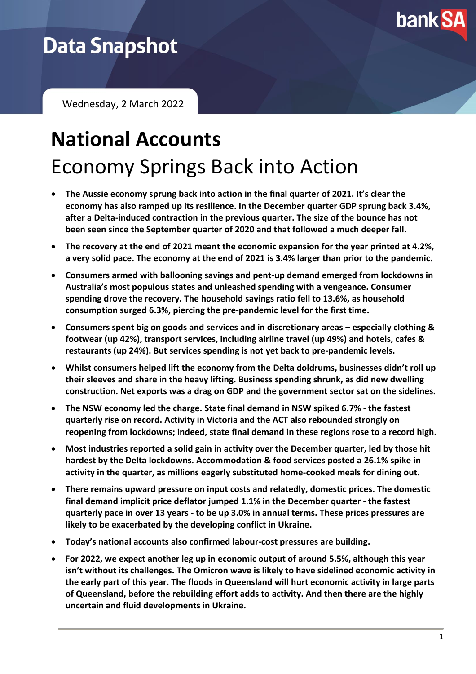

## **Data Snapshot**

Wednesday, 2 March 2022

# **National Accounts** Economy Springs Back into Action

- **The Aussie economy sprung back into action in the final quarter of 2021. It's clear the economy has also ramped up its resilience. In the December quarter GDP sprung back 3.4%, after a Delta-induced contraction in the previous quarter. The size of the bounce has not been seen since the September quarter of 2020 and that followed a much deeper fall.**
- **The recovery at the end of 2021 meant the economic expansion for the year printed at 4.2%, a very solid pace. The economy at the end of 2021 is 3.4% larger than prior to the pandemic.**
- **Consumers armed with ballooning savings and pent-up demand emerged from lockdowns in Australia's most populous states and unleashed spending with a vengeance. Consumer spending drove the recovery. The household savings ratio fell to 13.6%, as household consumption surged 6.3%, piercing the pre-pandemic level for the first time.**
- **Consumers spent big on goods and services and in discretionary areas – especially clothing & footwear (up 42%), transport services, including airline travel (up 49%) and hotels, cafes & restaurants (up 24%). But services spending is not yet back to pre-pandemic levels.**
- **Whilst consumers helped lift the economy from the Delta doldrums, businesses didn't roll up their sleeves and share in the heavy lifting. Business spending shrunk, as did new dwelling construction. Net exports was a drag on GDP and the government sector sat on the sidelines.**
- **The NSW economy led the charge. State final demand in NSW spiked 6.7% - the fastest quarterly rise on record. Activity in Victoria and the ACT also rebounded strongly on reopening from lockdowns; indeed, state final demand in these regions rose to a record high.**
- **Most industries reported a solid gain in activity over the December quarter, led by those hit hardest by the Delta lockdowns. Accommodation & food services posted a 26.1% spike in activity in the quarter, as millions eagerly substituted home-cooked meals for dining out.**
- **There remains upward pressure on input costs and relatedly, domestic prices. The domestic final demand implicit price deflator jumped 1.1% in the December quarter - the fastest quarterly pace in over 13 years - to be up 3.0% in annual terms. These prices pressures are likely to be exacerbated by the developing conflict in Ukraine.**
- **Today's national accounts also confirmed labour-cost pressures are building.**
- **For 2022, we expect another leg up in economic output of around 5.5%, although this year isn't without its challenges. The Omicron wave is likely to have sidelined economic activity in the early part of this year. The floods in Queensland will hurt economic activity in large parts of Queensland, before the rebuilding effort adds to activity. And then there are the highly uncertain and fluid developments in Ukraine.**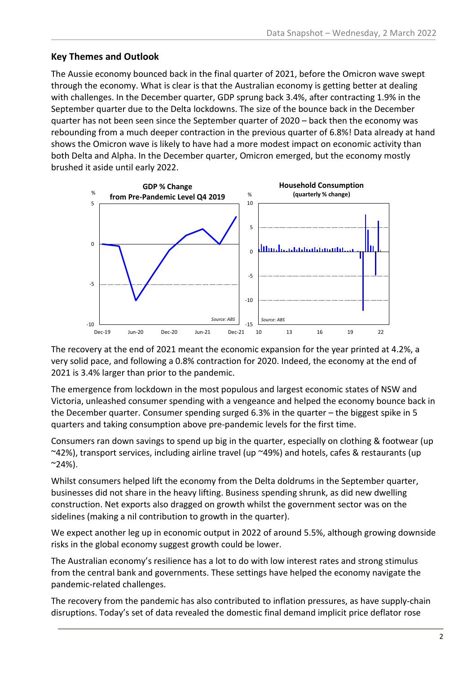#### **Key Themes and Outlook**

The Aussie economy bounced back in the final quarter of 2021, before the Omicron wave swept through the economy. What is clear is that the Australian economy is getting better at dealing with challenges. In the December quarter, GDP sprung back 3.4%, after contracting 1.9% in the September quarter due to the Delta lockdowns. The size of the bounce back in the December quarter has not been seen since the September quarter of 2020 – back then the economy was rebounding from a much deeper contraction in the previous quarter of 6.8%! Data already at hand shows the Omicron wave is likely to have had a more modest impact on economic activity than both Delta and Alpha. In the December quarter, Omicron emerged, but the economy mostly brushed it aside until early 2022.



The recovery at the end of 2021 meant the economic expansion for the year printed at 4.2%, a very solid pace, and following a 0.8% contraction for 2020. Indeed, the economy at the end of 2021 is 3.4% larger than prior to the pandemic.

The emergence from lockdown in the most populous and largest economic states of NSW and Victoria, unleashed consumer spending with a vengeance and helped the economy bounce back in the December quarter. Consumer spending surged 6.3% in the quarter – the biggest spike in 5 quarters and taking consumption above pre-pandemic levels for the first time.

Consumers ran down savings to spend up big in the quarter, especially on clothing & footwear (up ~42%), transport services, including airline travel (up ~49%) and hotels, cafes & restaurants (up  $^{\sim}$ 24%).

Whilst consumers helped lift the economy from the Delta doldrums in the September quarter, businesses did not share in the heavy lifting. Business spending shrunk, as did new dwelling construction. Net exports also dragged on growth whilst the government sector was on the sidelines (making a nil contribution to growth in the quarter).

We expect another leg up in economic output in 2022 of around 5.5%, although growing downside risks in the global economy suggest growth could be lower.

The Australian economy's resilience has a lot to do with low interest rates and strong stimulus from the central bank and governments. These settings have helped the economy navigate the pandemic-related challenges.

The recovery from the pandemic has also contributed to inflation pressures, as have supply-chain disruptions. Today's set of data revealed the domestic final demand implicit price deflator rose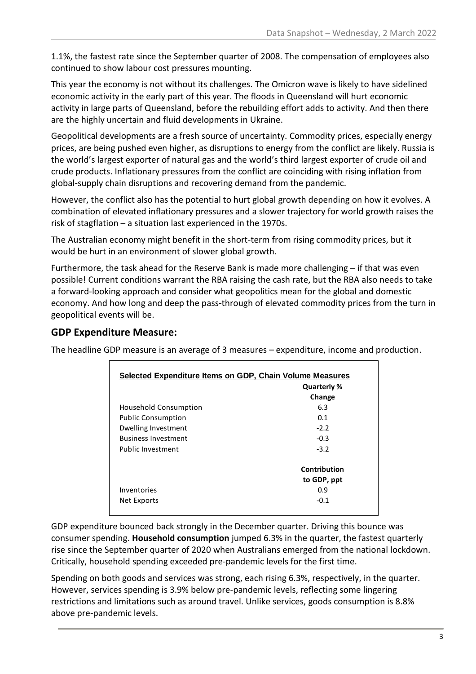1.1%, the fastest rate since the September quarter of 2008. The compensation of employees also continued to show labour cost pressures mounting.

This year the economy is not without its challenges. The Omicron wave is likely to have sidelined economic activity in the early part of this year. The floods in Queensland will hurt economic activity in large parts of Queensland, before the rebuilding effort adds to activity. And then there are the highly uncertain and fluid developments in Ukraine.

Geopolitical developments are a fresh source of uncertainty. Commodity prices, especially energy prices, are being pushed even higher, as disruptions to energy from the conflict are likely. Russia is the world's largest exporter of natural gas and the world's third largest exporter of crude oil and crude products. Inflationary pressures from the conflict are coinciding with rising inflation from global-supply chain disruptions and recovering demand from the pandemic.

However, the conflict also has the potential to hurt global growth depending on how it evolves. A combination of elevated inflationary pressures and a slower trajectory for world growth raises the risk of stagflation – a situation last experienced in the 1970s.

The Australian economy might benefit in the short-term from rising commodity prices, but it would be hurt in an environment of slower global growth.

Furthermore, the task ahead for the Reserve Bank is made more challenging – if that was even possible! Current conditions warrant the RBA raising the cash rate, but the RBA also needs to take a forward-looking approach and consider what geopolitics mean for the global and domestic economy. And how long and deep the pass-through of elevated commodity prices from the turn in geopolitical events will be.

### **GDP Expenditure Measure:**

The headline GDP measure is an average of 3 measures – expenditure, income and production.

| Selected Expenditure Items on GDP, Chain Volume Measures |              |  |
|----------------------------------------------------------|--------------|--|
|                                                          | Quarterly %  |  |
|                                                          | Change       |  |
| Household Consumption                                    | 6.3          |  |
| <b>Public Consumption</b>                                | 0.1          |  |
| Dwelling Investment                                      | $-2.2$       |  |
| <b>Business Investment</b>                               | $-0.3$       |  |
| Public Investment                                        | $-3.2$       |  |
|                                                          | Contribution |  |
|                                                          | to GDP, ppt  |  |
| Inventories                                              | 0.9          |  |
| Net Exports                                              | $-0.1$       |  |

GDP expenditure bounced back strongly in the December quarter. Driving this bounce was consumer spending. **Household consumption** jumped 6.3% in the quarter, the fastest quarterly rise since the September quarter of 2020 when Australians emerged from the national lockdown. Critically, household spending exceeded pre-pandemic levels for the first time.

Spending on both goods and services was strong, each rising 6.3%, respectively, in the quarter. However, services spending is 3.9% below pre-pandemic levels, reflecting some lingering restrictions and limitations such as around travel. Unlike services, goods consumption is 8.8% above pre-pandemic levels.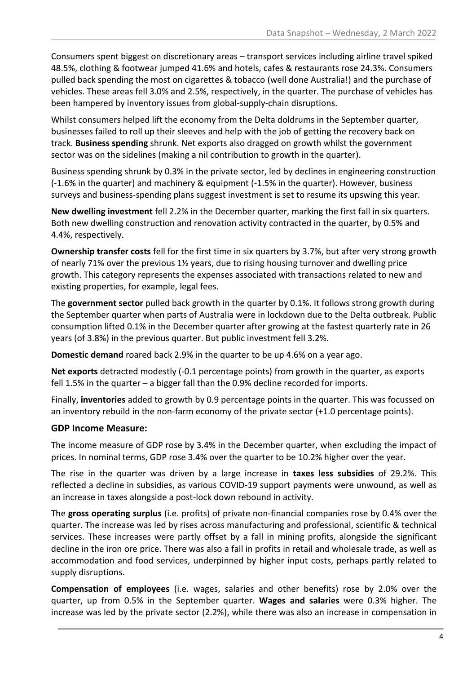Consumers spent biggest on discretionary areas – transport services including airline travel spiked 48.5%, clothing & footwear jumped 41.6% and hotels, cafes & restaurants rose 24.3%. Consumers pulled back spending the most on cigarettes & tobacco (well done Australia!) and the purchase of vehicles. These areas fell 3.0% and 2.5%, respectively, in the quarter. The purchase of vehicles has been hampered by inventory issues from global-supply-chain disruptions.

Whilst consumers helped lift the economy from the Delta doldrums in the September quarter, businesses failed to roll up their sleeves and help with the job of getting the recovery back on track. **Business spending** shrunk. Net exports also dragged on growth whilst the government sector was on the sidelines (making a nil contribution to growth in the quarter).

Business spending shrunk by 0.3% in the private sector, led by declines in engineering construction (-1.6% in the quarter) and machinery & equipment (-1.5% in the quarter). However, business surveys and business-spending plans suggest investment is set to resume its upswing this year.

**New dwelling investment** fell 2.2% in the December quarter, marking the first fall in six quarters. Both new dwelling construction and renovation activity contracted in the quarter, by 0.5% and 4.4%, respectively.

**Ownership transfer costs** fell for the first time in six quarters by 3.7%, but after very strong growth of nearly 71% over the previous 1½ years, due to rising housing turnover and dwelling price growth. This category represents the expenses associated with transactions related to new and existing properties, for example, legal fees.

The **government sector** pulled back growth in the quarter by 0.1%. It follows strong growth during the September quarter when parts of Australia were in lockdown due to the Delta outbreak. Public consumption lifted 0.1% in the December quarter after growing at the fastest quarterly rate in 26 years (of 3.8%) in the previous quarter. But public investment fell 3.2%.

**Domestic demand** roared back 2.9% in the quarter to be up 4.6% on a year ago.

**Net exports** detracted modestly (-0.1 percentage points) from growth in the quarter, as exports fell 1.5% in the quarter – a bigger fall than the 0.9% decline recorded for imports.

Finally, **inventories** added to growth by 0.9 percentage points in the quarter. This was focussed on an inventory rebuild in the non-farm economy of the private sector (+1.0 percentage points).

#### **GDP Income Measure:**

The income measure of GDP rose by 3.4% in the December quarter, when excluding the impact of prices. In nominal terms, GDP rose 3.4% over the quarter to be 10.2% higher over the year.

The rise in the quarter was driven by a large increase in **taxes less subsidies** of 29.2%. This reflected a decline in subsidies, as various COVID-19 support payments were unwound, as well as an increase in taxes alongside a post-lock down rebound in activity.

The **gross operating surplus** (i.e. profits) of private non-financial companies rose by 0.4% over the quarter. The increase was led by rises across manufacturing and professional, scientific & technical services. These increases were partly offset by a fall in mining profits, alongside the significant decline in the iron ore price. There was also a fall in profits in retail and wholesale trade, as well as accommodation and food services, underpinned by higher input costs, perhaps partly related to supply disruptions.

**Compensation of employees** (i.e. wages, salaries and other benefits) rose by 2.0% over the quarter, up from 0.5% in the September quarter. **Wages and salaries** were 0.3% higher. The increase was led by the private sector (2.2%), while there was also an increase in compensation in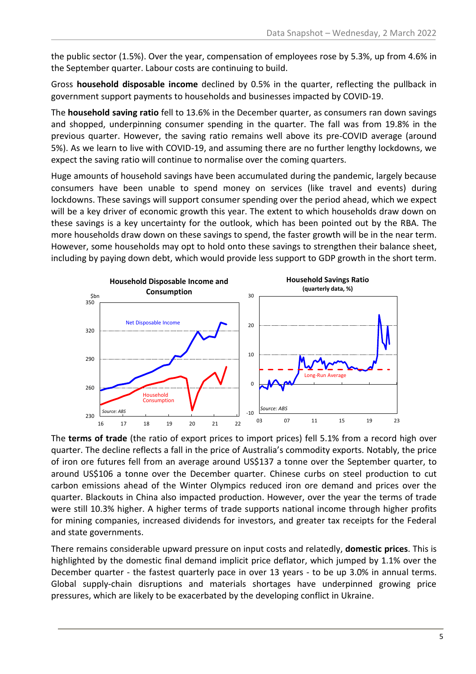the public sector (1.5%). Over the year, compensation of employees rose by 5.3%, up from 4.6% in the September quarter. Labour costs are continuing to build.

Gross **household disposable income** declined by 0.5% in the quarter, reflecting the pullback in government support payments to households and businesses impacted by COVID-19.

The **household saving ratio** fell to 13.6% in the December quarter, as consumers ran down savings and shopped, underpinning consumer spending in the quarter. The fall was from 19.8% in the previous quarter. However, the saving ratio remains well above its pre-COVID average (around 5%). As we learn to live with COVID-19, and assuming there are no further lengthy lockdowns, we expect the saving ratio will continue to normalise over the coming quarters.

Huge amounts of household savings have been accumulated during the pandemic, largely because consumers have been unable to spend money on services (like travel and events) during lockdowns. These savings will support consumer spending over the period ahead, which we expect will be a key driver of economic growth this year. The extent to which households draw down on these savings is a key uncertainty for the outlook, which has been pointed out by the RBA. The more households draw down on these savings to spend, the faster growth will be in the near term. However, some households may opt to hold onto these savings to strengthen their balance sheet, including by paying down debt, which would provide less support to GDP growth in the short term.



The **terms of trade** (the ratio of export prices to import prices) fell 5.1% from a record high over quarter. The decline reflects a fall in the price of Australia's commodity exports. Notably, the price of iron ore futures fell from an average around US\$137 a tonne over the September quarter, to around US\$106 a tonne over the December quarter. Chinese curbs on steel production to cut carbon emissions ahead of the Winter Olympics reduced iron ore demand and prices over the quarter. Blackouts in China also impacted production. However, over the year the terms of trade were still 10.3% higher. A higher terms of trade supports national income through higher profits for mining companies, increased dividends for investors, and greater tax receipts for the Federal and state governments.

There remains considerable upward pressure on input costs and relatedly, **domestic prices**. This is highlighted by the domestic final demand implicit price deflator, which jumped by 1.1% over the December quarter - the fastest quarterly pace in over 13 years - to be up 3.0% in annual terms. Global supply-chain disruptions and materials shortages have underpinned growing price pressures, which are likely to be exacerbated by the developing conflict in Ukraine.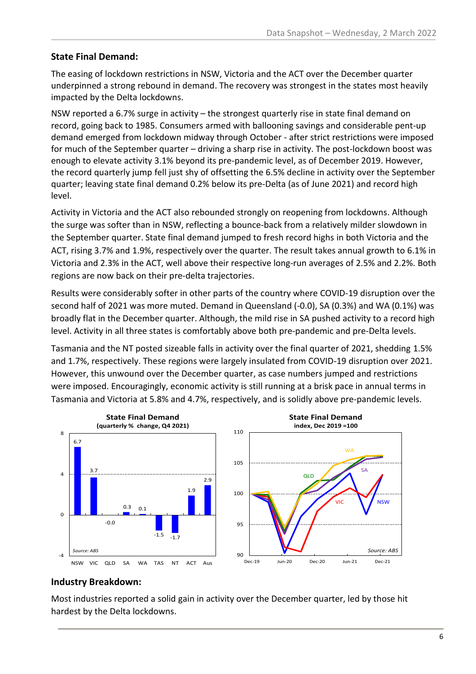#### **State Final Demand:**

The easing of lockdown restrictions in NSW, Victoria and the ACT over the December quarter underpinned a strong rebound in demand. The recovery was strongest in the states most heavily impacted by the Delta lockdowns.

NSW reported a 6.7% surge in activity – the strongest quarterly rise in state final demand on record, going back to 1985. Consumers armed with ballooning savings and considerable pent-up demand emerged from lockdown midway through October - after strict restrictions were imposed for much of the September quarter – driving a sharp rise in activity. The post-lockdown boost was enough to elevate activity 3.1% beyond its pre-pandemic level, as of December 2019. However, the record quarterly jump fell just shy of offsetting the 6.5% decline in activity over the September quarter; leaving state final demand 0.2% below its pre-Delta (as of June 2021) and record high level.

Activity in Victoria and the ACT also rebounded strongly on reopening from lockdowns. Although the surge was softer than in NSW, reflecting a bounce-back from a relatively milder slowdown in the September quarter. State final demand jumped to fresh record highs in both Victoria and the ACT, rising 3.7% and 1.9%, respectively over the quarter. The result takes annual growth to 6.1% in Victoria and 2.3% in the ACT, well above their respective long-run averages of 2.5% and 2.2%. Both regions are now back on their pre-delta trajectories.

Results were considerably softer in other parts of the country where COVID-19 disruption over the second half of 2021 was more muted. Demand in Queensland (-0.0), SA (0.3%) and WA (0.1%) was broadly flat in the December quarter. Although, the mild rise in SA pushed activity to a record high level. Activity in all three states is comfortably above both pre-pandemic and pre-Delta levels.

Tasmania and the NT posted sizeable falls in activity over the final quarter of 2021, shedding 1.5% and 1.7%, respectively. These regions were largely insulated from COVID-19 disruption over 2021. However, this unwound over the December quarter, as case numbers jumped and restrictions were imposed. Encouragingly, economic activity is still running at a brisk pace in annual terms in Tasmania and Victoria at 5.8% and 4.7%, respectively, and is solidly above pre-pandemic levels.



#### **Industry Breakdown:**

Most industries reported a solid gain in activity over the December quarter, led by those hit hardest by the Delta lockdowns.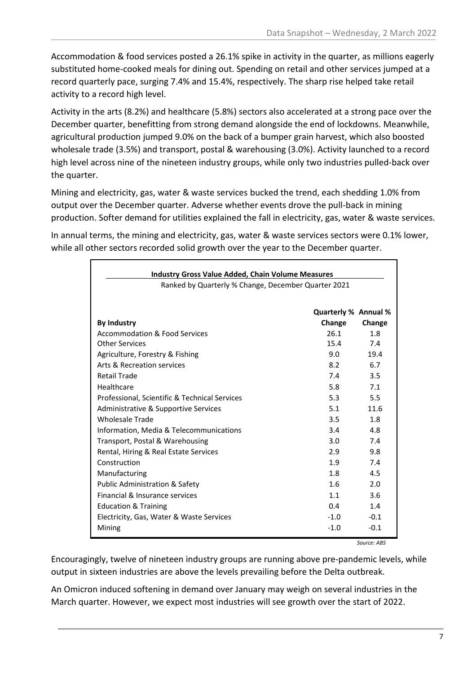Accommodation & food services posted a 26.1% spike in activity in the quarter, as millions eagerly substituted home-cooked meals for dining out. Spending on retail and other services jumped at a record quarterly pace, surging 7.4% and 15.4%, respectively. The sharp rise helped take retail activity to a record high level.

Activity in the arts (8.2%) and healthcare (5.8%) sectors also accelerated at a strong pace over the December quarter, benefitting from strong demand alongside the end of lockdowns. Meanwhile, agricultural production jumped 9.0% on the back of a bumper grain harvest, which also boosted wholesale trade (3.5%) and transport, postal & warehousing (3.0%). Activity launched to a record high level across nine of the nineteen industry groups, while only two industries pulled-back over the quarter.

Mining and electricity, gas, water & waste services bucked the trend, each shedding 1.0% from output over the December quarter. Adverse whether events drove the pull-back in mining production. Softer demand for utilities explained the fall in electricity, gas, water & waste services.

In annual terms, the mining and electricity, gas, water & waste services sectors were 0.1% lower, while all other sectors recorded solid growth over the year to the December quarter.

| <b>Industry Gross Value Added, Chain Volume Measures</b> |                      |        |
|----------------------------------------------------------|----------------------|--------|
| Ranked by Quarterly % Change, December Quarter 2021      |                      |        |
|                                                          |                      |        |
|                                                          | Quarterly % Annual % |        |
| <b>By Industry</b>                                       | Change               | Change |
| <b>Accommodation &amp; Food Services</b>                 | 26.1                 | 1.8    |
| Other Services                                           | 15.4                 | 7.4    |
| Agriculture, Forestry & Fishing                          | 9.0                  | 19.4   |
| Arts & Recreation services                               | 8.2                  | 6.7    |
| <b>Retail Trade</b>                                      | 7.4                  | 3.5    |
| Healthcare                                               | 5.8                  | 7.1    |
| Professional, Scientific & Technical Services            | 5.3                  | 5.5    |
| Administrative & Supportive Services                     | 5.1                  | 11.6   |
| <b>Wholesale Trade</b>                                   | 3.5                  | 1.8    |
| Information, Media & Telecommunications                  | 3.4                  | 4.8    |
| Transport, Postal & Warehousing                          | 3.0                  | 7.4    |
| Rental, Hiring & Real Estate Services                    | 2.9                  | 9.8    |
| Construction                                             | 1.9                  | 7.4    |
| Manufacturing                                            | 1.8                  | 4.5    |
| Public Administration & Safety                           | 1.6                  | 2.0    |
| Financial & Insurance services                           | 1.1                  | 3.6    |
| <b>Education &amp; Training</b>                          | 0.4                  | 1.4    |
| Electricity, Gas, Water & Waste Services                 | $-1.0$               | $-0.1$ |
| Mining                                                   | $-1.0$               | $-0.1$ |

*Source: ABS*

Encouragingly, twelve of nineteen industry groups are running above pre-pandemic levels, while output in sixteen industries are above the levels prevailing before the Delta outbreak.

An Omicron induced softening in demand over January may weigh on several industries in the March quarter. However, we expect most industries will see growth over the start of 2022.